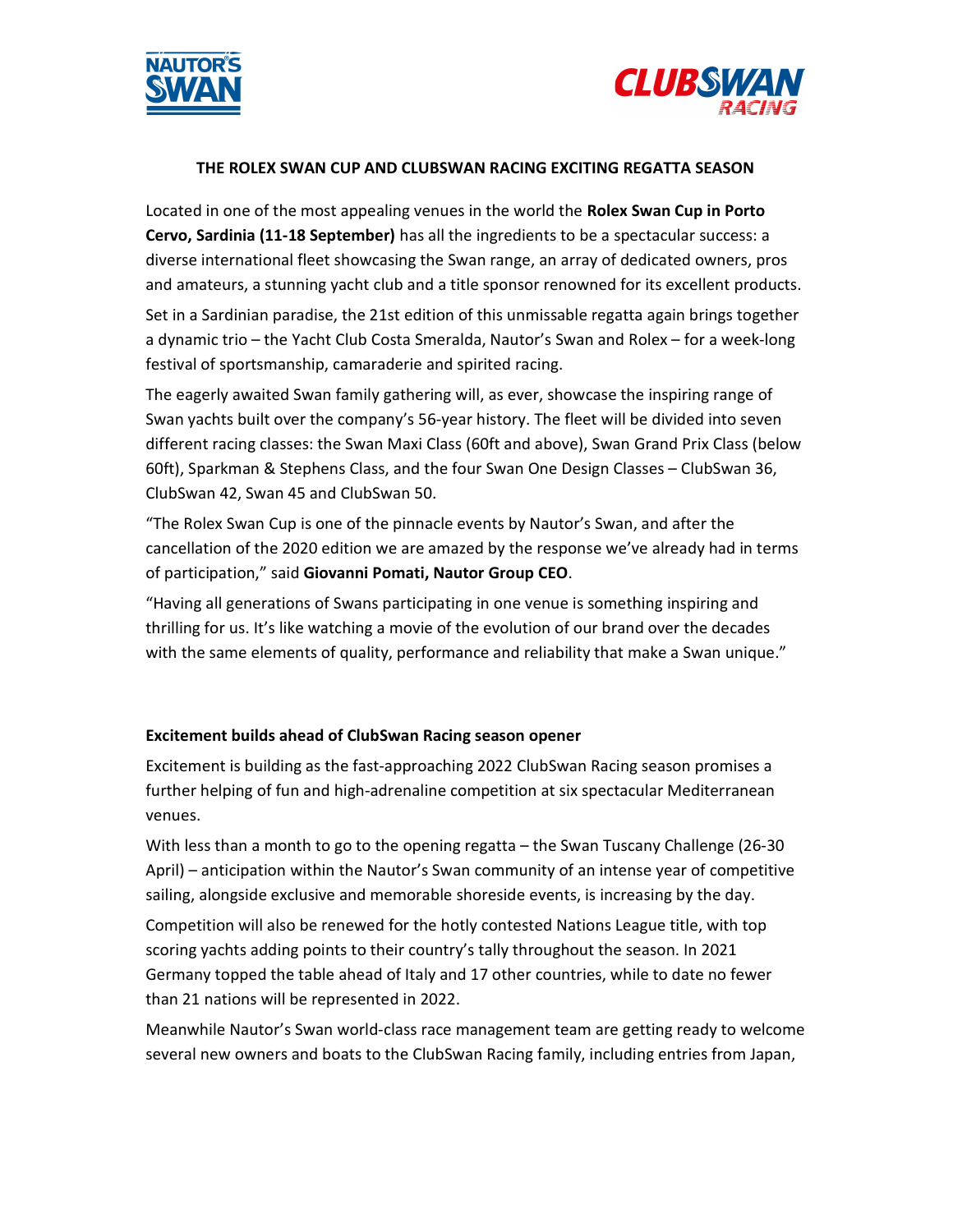



### THE ROLEX SWAN CUP AND CLUBSWAN RACING EXCITING REGATTA SEASON

Located in one of the most appealing venues in the world the Rolex Swan Cup in Porto Cervo, Sardinia (11-18 September) has all the ingredients to be a spectacular success: a diverse international fleet showcasing the Swan range, an array of dedicated owners, pros and amateurs, a stunning yacht club and a title sponsor renowned for its excellent products.

Set in a Sardinian paradise, the 21st edition of this unmissable regatta again brings together a dynamic trio – the Yacht Club Costa Smeralda, Nautor's Swan and Rolex – for a week-long festival of sportsmanship, camaraderie and spirited racing.

The eagerly awaited Swan family gathering will, as ever, showcase the inspiring range of Swan yachts built over the company's 56-year history. The fleet will be divided into seven different racing classes: the Swan Maxi Class (60ft and above), Swan Grand Prix Class (below 60ft), Sparkman & Stephens Class, and the four Swan One Design Classes – ClubSwan 36, ClubSwan 42, Swan 45 and ClubSwan 50.

"The Rolex Swan Cup is one of the pinnacle events by Nautor's Swan, and after the cancellation of the 2020 edition we are amazed by the response we've already had in terms of participation," said Giovanni Pomati, Nautor Group CEO.

"Having all generations of Swans participating in one venue is something inspiring and thrilling for us. It's like watching a movie of the evolution of our brand over the decades with the same elements of quality, performance and reliability that make a Swan unique."

### Excitement builds ahead of ClubSwan Racing season opener

Excitement is building as the fast-approaching 2022 ClubSwan Racing season promises a further helping of fun and high-adrenaline competition at six spectacular Mediterranean venues.

With less than a month to go to the opening regatta – the Swan Tuscany Challenge (26-30 April) – anticipation within the Nautor's Swan community of an intense year of competitive sailing, alongside exclusive and memorable shoreside events, is increasing by the day.

Competition will also be renewed for the hotly contested Nations League title, with top scoring yachts adding points to their country's tally throughout the season. In 2021 Germany topped the table ahead of Italy and 17 other countries, while to date no fewer than 21 nations will be represented in 2022.

Meanwhile Nautor's Swan world-class race management team are getting ready to welcome several new owners and boats to the ClubSwan Racing family, including entries from Japan,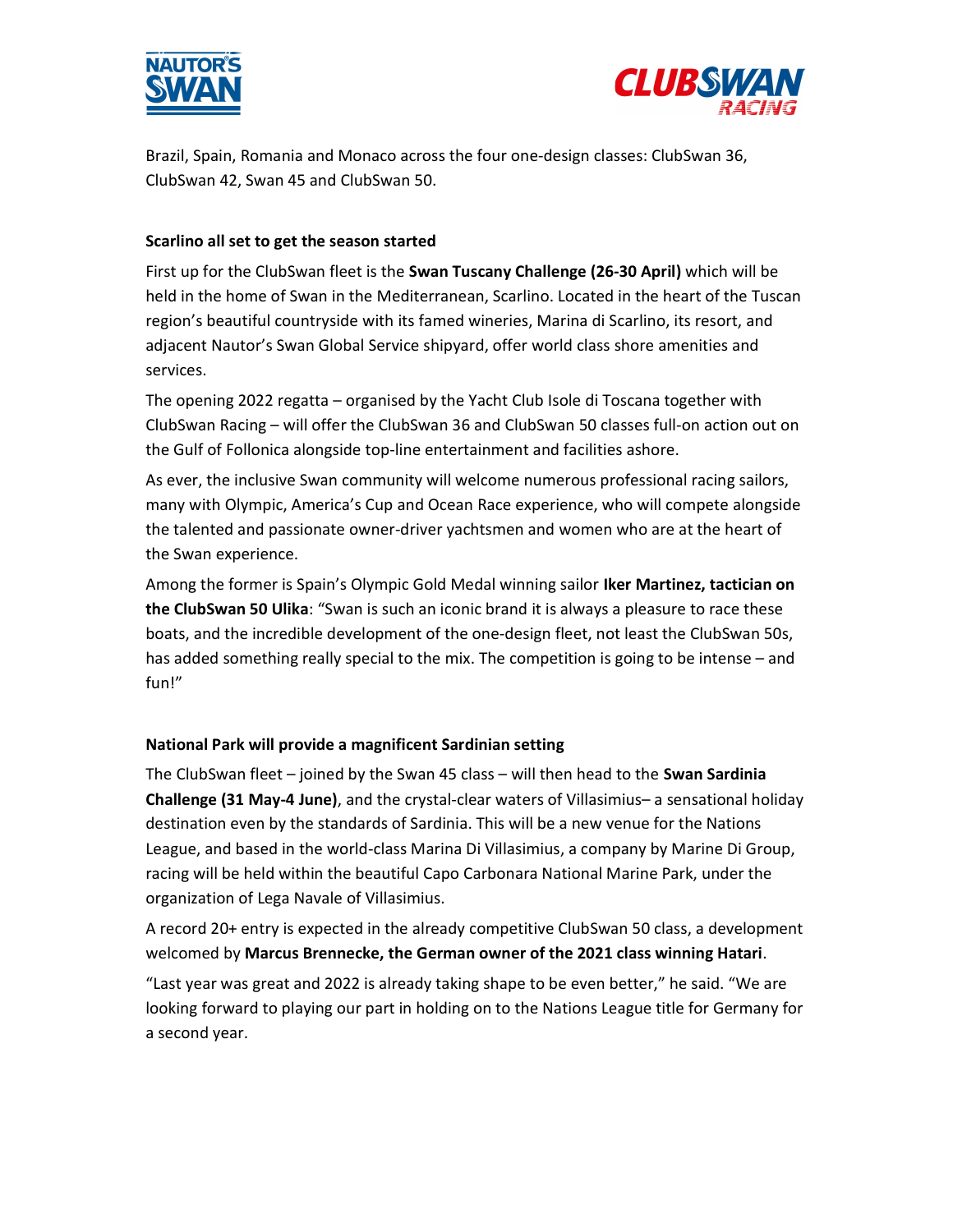



Brazil, Spain, Romania and Monaco across the four one-design classes: ClubSwan 36, ClubSwan 42, Swan 45 and ClubSwan 50.

## Scarlino all set to get the season started

First up for the ClubSwan fleet is the Swan Tuscany Challenge (26-30 April) which will be held in the home of Swan in the Mediterranean, Scarlino. Located in the heart of the Tuscan region's beautiful countryside with its famed wineries, Marina di Scarlino, its resort, and adjacent Nautor's Swan Global Service shipyard, offer world class shore amenities and services.

The opening 2022 regatta – organised by the Yacht Club Isole di Toscana together with ClubSwan Racing – will offer the ClubSwan 36 and ClubSwan 50 classes full-on action out on the Gulf of Follonica alongside top-line entertainment and facilities ashore.

As ever, the inclusive Swan community will welcome numerous professional racing sailors, many with Olympic, America's Cup and Ocean Race experience, who will compete alongside the talented and passionate owner-driver yachtsmen and women who are at the heart of the Swan experience.

Among the former is Spain's Olympic Gold Medal winning sailor Iker Martinez, tactician on the ClubSwan 50 Ulika: "Swan is such an iconic brand it is always a pleasure to race these boats, and the incredible development of the one-design fleet, not least the ClubSwan 50s, has added something really special to the mix. The competition is going to be intense – and fun!"

### National Park will provide a magnificent Sardinian setting

The ClubSwan fleet – joined by the Swan 45 class – will then head to the **Swan Sardinia** Challenge (31 May-4 June), and the crystal-clear waters of Villasimius– a sensational holiday destination even by the standards of Sardinia. This will be a new venue for the Nations League, and based in the world-class Marina Di Villasimius, a company by Marine Di Group, racing will be held within the beautiful Capo Carbonara National Marine Park, under the organization of Lega Navale of Villasimius.

A record 20+ entry is expected in the already competitive ClubSwan 50 class, a development welcomed by Marcus Brennecke, the German owner of the 2021 class winning Hatari.

"Last year was great and 2022 is already taking shape to be even better," he said. "We are looking forward to playing our part in holding on to the Nations League title for Germany for a second year.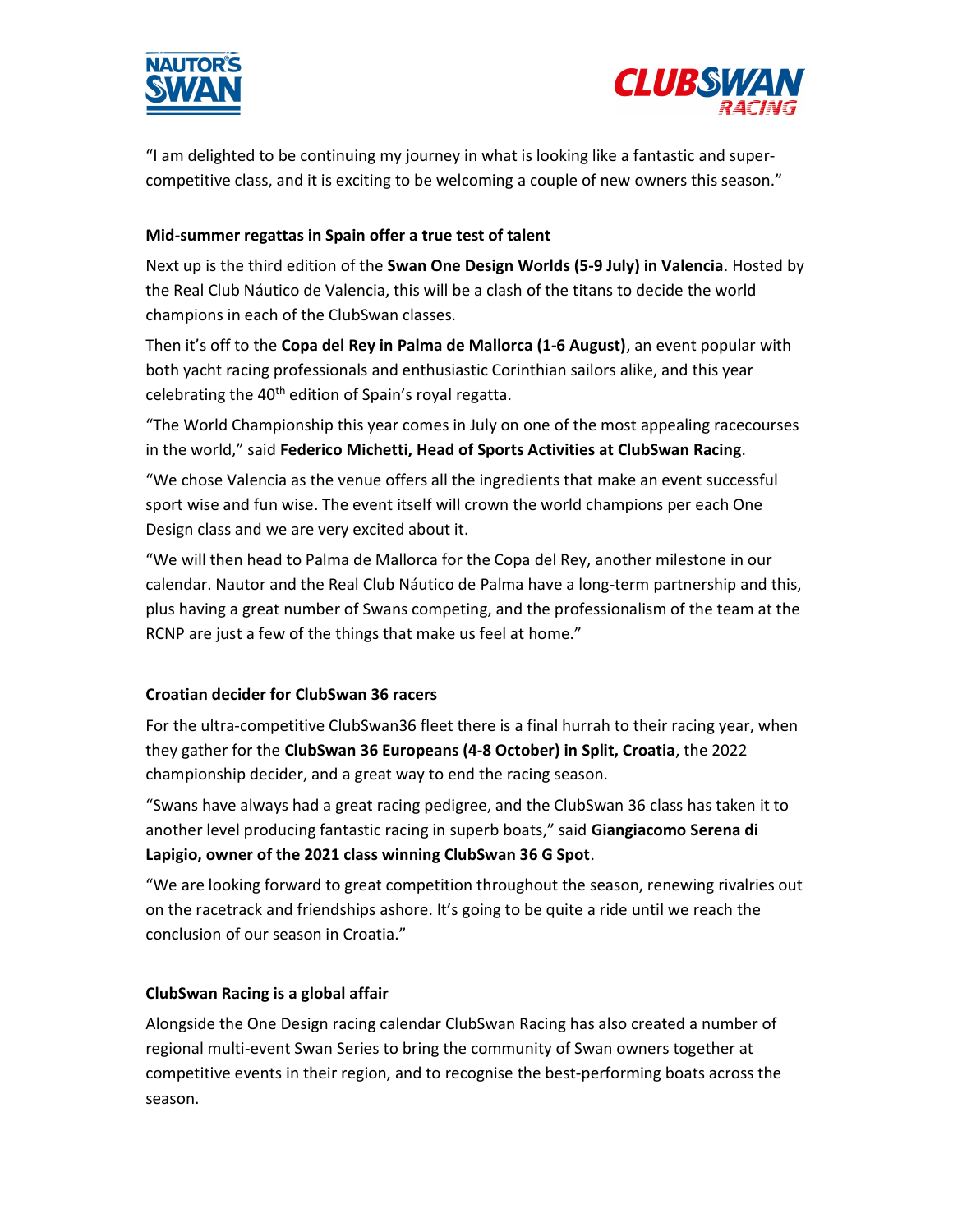



"I am delighted to be continuing my journey in what is looking like a fantastic and supercompetitive class, and it is exciting to be welcoming a couple of new owners this season."

# Mid-summer regattas in Spain offer a true test of talent

Next up is the third edition of the Swan One Design Worlds (5-9 July) in Valencia. Hosted by the Real Club Náutico de Valencia, this will be a clash of the titans to decide the world champions in each of the ClubSwan classes.

Then it's off to the Copa del Rey in Palma de Mallorca (1-6 August), an event popular with both yacht racing professionals and enthusiastic Corinthian sailors alike, and this year celebrating the 40<sup>th</sup> edition of Spain's royal regatta.

"The World Championship this year comes in July on one of the most appealing racecourses in the world," said Federico Michetti, Head of Sports Activities at ClubSwan Racing.

"We chose Valencia as the venue offers all the ingredients that make an event successful sport wise and fun wise. The event itself will crown the world champions per each One Design class and we are very excited about it.

"We will then head to Palma de Mallorca for the Copa del Rey, another milestone in our calendar. Nautor and the Real Club Náutico de Palma have a long-term partnership and this, plus having a great number of Swans competing, and the professionalism of the team at the RCNP are just a few of the things that make us feel at home."

### Croatian decider for ClubSwan 36 racers

For the ultra-competitive ClubSwan36 fleet there is a final hurrah to their racing year, when they gather for the ClubSwan 36 Europeans (4-8 October) in Split, Croatia, the 2022 championship decider, and a great way to end the racing season.

"Swans have always had a great racing pedigree, and the ClubSwan 36 class has taken it to another level producing fantastic racing in superb boats," said Giangiacomo Serena di Lapigio, owner of the 2021 class winning ClubSwan 36 G Spot.

"We are looking forward to great competition throughout the season, renewing rivalries out on the racetrack and friendships ashore. It's going to be quite a ride until we reach the conclusion of our season in Croatia."

### ClubSwan Racing is a global affair

Alongside the One Design racing calendar ClubSwan Racing has also created a number of regional multi-event Swan Series to bring the community of Swan owners together at competitive events in their region, and to recognise the best-performing boats across the season.